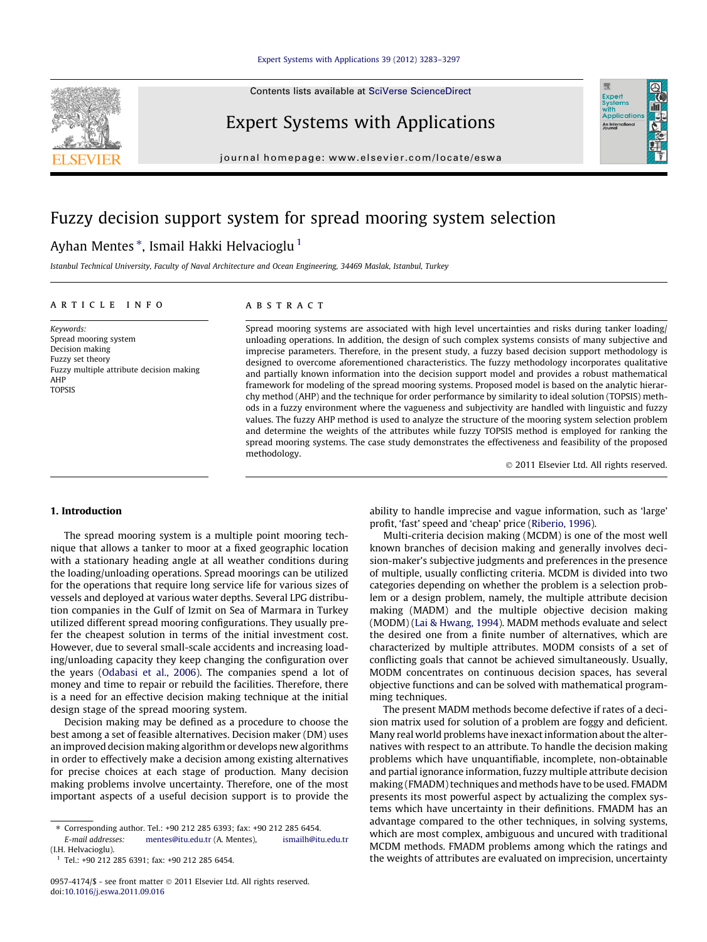Contents lists available at [SciVerse ScienceDirect](http://www.sciencedirect.com/science/journal/09574174)



# Expert Systems with Applications

journal homepage: [www.elsevier.com/locate/eswa](http://www.elsevier.com/locate/eswa)

# Fuzzy decision support system for spread mooring system selection

# Ayhan Mentes \*, Ismail Hakki Helvacioglu <sup>1</sup>

Istanbul Technical University, Faculty of Naval Architecture and Ocean Engineering, 34469 Maslak, Istanbul, Turkey

## article info

Keywords: Spread mooring system Decision making Fuzzy set theory Fuzzy multiple attribute decision making AHP TOPSIS

# **ABSTRACT**

Spread mooring systems are associated with high level uncertainties and risks during tanker loading/ unloading operations. In addition, the design of such complex systems consists of many subjective and imprecise parameters. Therefore, in the present study, a fuzzy based decision support methodology is designed to overcome aforementioned characteristics. The fuzzy methodology incorporates qualitative and partially known information into the decision support model and provides a robust mathematical framework for modeling of the spread mooring systems. Proposed model is based on the analytic hierarchy method (AHP) and the technique for order performance by similarity to ideal solution (TOPSIS) methods in a fuzzy environment where the vagueness and subjectivity are handled with linguistic and fuzzy values. The fuzzy AHP method is used to analyze the structure of the mooring system selection problem and determine the weights of the attributes while fuzzy TOPSIS method is employed for ranking the spread mooring systems. The case study demonstrates the effectiveness and feasibility of the proposed methodology.

- 2011 Elsevier Ltd. All rights reserved.

Expert<br>Syster Applicatio An Interna

## 1. Introduction

The spread mooring system is a multiple point mooring technique that allows a tanker to moor at a fixed geographic location with a stationary heading angle at all weather conditions during the loading/unloading operations. Spread moorings can be utilized for the operations that require long service life for various sizes of vessels and deployed at various water depths. Several LPG distribution companies in the Gulf of Izmit on Sea of Marmara in Turkey utilized different spread mooring configurations. They usually prefer the cheapest solution in terms of the initial investment cost. However, due to several small-scale accidents and increasing loading/unloading capacity they keep changing the configuration over the years [\(Odabasi et al., 2006](#page--1-0)). The companies spend a lot of money and time to repair or rebuild the facilities. Therefore, there is a need for an effective decision making technique at the initial design stage of the spread mooring system.

Decision making may be defined as a procedure to choose the best among a set of feasible alternatives. Decision maker (DM) uses an improved decision making algorithm or develops new algorithms in order to effectively make a decision among existing alternatives for precise choices at each stage of production. Many decision making problems involve uncertainty. Therefore, one of the most important aspects of a useful decision support is to provide the ability to handle imprecise and vague information, such as 'large' profit, 'fast' speed and 'cheap' price [\(Riberio, 1996\)](#page--1-0).

Multi-criteria decision making (MCDM) is one of the most well known branches of decision making and generally involves decision-maker's subjective judgments and preferences in the presence of multiple, usually conflicting criteria. MCDM is divided into two categories depending on whether the problem is a selection problem or a design problem, namely, the multiple attribute decision making (MADM) and the multiple objective decision making (MODM) ([Lai & Hwang, 1994](#page--1-0)). MADM methods evaluate and select the desired one from a finite number of alternatives, which are characterized by multiple attributes. MODM consists of a set of conflicting goals that cannot be achieved simultaneously. Usually, MODM concentrates on continuous decision spaces, has several objective functions and can be solved with mathematical programming techniques.

The present MADM methods become defective if rates of a decision matrix used for solution of a problem are foggy and deficient. Many real world problems have inexact information about the alternatives with respect to an attribute. To handle the decision making problems which have unquantifiable, incomplete, non-obtainable and partial ignorance information, fuzzy multiple attribute decision making (FMADM) techniques and methods have to be used. FMADM presents its most powerful aspect by actualizing the complex systems which have uncertainty in their definitions. FMADM has an advantage compared to the other techniques, in solving systems, which are most complex, ambiguous and uncured with traditional MCDM methods. FMADM problems among which the ratings and the weights of attributes are evaluated on imprecision, uncertainty

<sup>⇑</sup> Corresponding author. Tel.: +90 212 285 6393; fax: +90 212 285 6454. [mentes@itu.edu.tr](mailto:        mentes@itu.edu.tr) (A. Mentes), (I.H. Helvacioglu).

 $1$  Tel.: +90 212 285 6391; fax: +90 212 285 6454.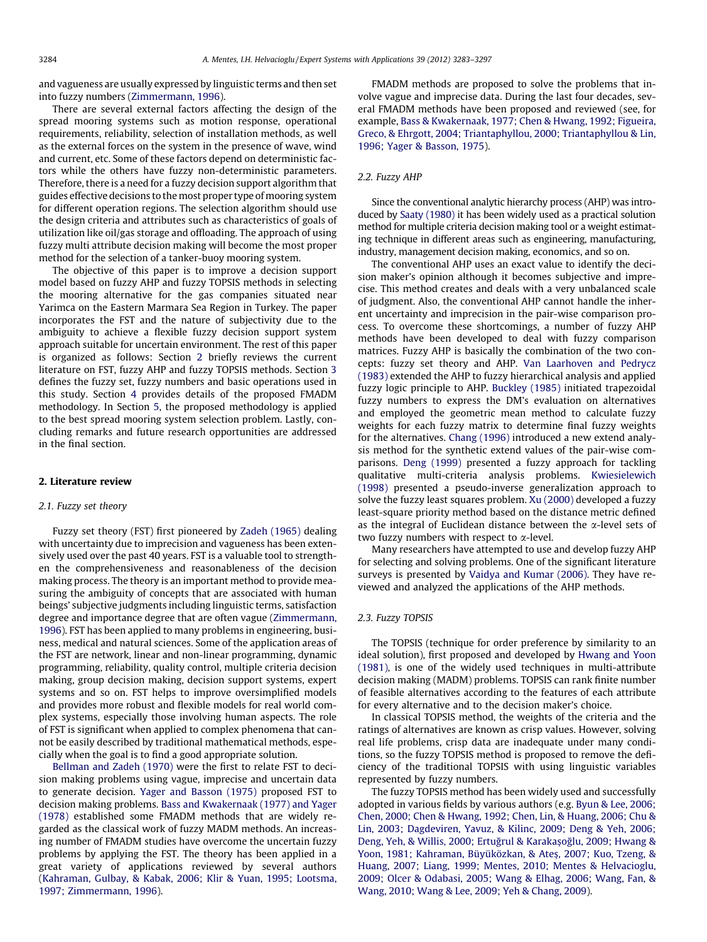and vagueness are usually expressed by linguistic terms and then set into fuzzy numbers ([Zimmermann, 1996](#page--1-0)).

There are several external factors affecting the design of the spread mooring systems such as motion response, operational requirements, reliability, selection of installation methods, as well as the external forces on the system in the presence of wave, wind and current, etc. Some of these factors depend on deterministic factors while the others have fuzzy non-deterministic parameters. Therefore, there is a need for a fuzzy decision support algorithm that guides effective decisions to the most proper type of mooring system for different operation regions. The selection algorithm should use the design criteria and attributes such as characteristics of goals of utilization like oil/gas storage and offloading. The approach of using fuzzy multi attribute decision making will become the most proper method for the selection of a tanker-buoy mooring system.

The objective of this paper is to improve a decision support model based on fuzzy AHP and fuzzy TOPSIS methods in selecting the mooring alternative for the gas companies situated near Yarimca on the Eastern Marmara Sea Region in Turkey. The paper incorporates the FST and the nature of subjectivity due to the ambiguity to achieve a flexible fuzzy decision support system approach suitable for uncertain environment. The rest of this paper is organized as follows: Section 2 briefly reviews the current literature on FST, fuzzy AHP and fuzzy TOPSIS methods. Section [3](#page--1-0) defines the fuzzy set, fuzzy numbers and basic operations used in this study. Section [4](#page--1-0) provides details of the proposed FMADM methodology. In Section [5](#page--1-0), the proposed methodology is applied to the best spread mooring system selection problem. Lastly, concluding remarks and future research opportunities are addressed in the final section.

## 2. Literature review

#### 2.1. Fuzzy set theory

Fuzzy set theory (FST) first pioneered by [Zadeh \(1965\)](#page--1-0) dealing with uncertainty due to imprecision and vagueness has been extensively used over the past 40 years. FST is a valuable tool to strengthen the comprehensiveness and reasonableness of the decision making process. The theory is an important method to provide measuring the ambiguity of concepts that are associated with human beings' subjective judgments including linguistic terms, satisfaction degree and importance degree that are often vague [\(Zimmermann,](#page--1-0) [1996\)](#page--1-0). FST has been applied to many problems in engineering, business, medical and natural sciences. Some of the application areas of the FST are network, linear and non-linear programming, dynamic programming, reliability, quality control, multiple criteria decision making, group decision making, decision support systems, expert systems and so on. FST helps to improve oversimplified models and provides more robust and flexible models for real world complex systems, especially those involving human aspects. The role of FST is significant when applied to complex phenomena that cannot be easily described by traditional mathematical methods, especially when the goal is to find a good appropriate solution.

[Bellman and Zadeh \(1970\)](#page--1-0) were the first to relate FST to decision making problems using vague, imprecise and uncertain data to generate decision. [Yager and Basson \(1975\)](#page--1-0) proposed FST to decision making problems. [Bass and Kwakernaak \(1977\) and Yager](#page--1-0) [\(1978\)](#page--1-0) established some FMADM methods that are widely regarded as the classical work of fuzzy MADM methods. An increasing number of FMADM studies have overcome the uncertain fuzzy problems by applying the FST. The theory has been applied in a great variety of applications reviewed by several authors ([Kahraman, Gulbay, & Kabak, 2006; Klir & Yuan, 1995; Lootsma,](#page--1-0) [1997; Zimmermann, 1996](#page--1-0)).

FMADM methods are proposed to solve the problems that involve vague and imprecise data. During the last four decades, several FMADM methods have been proposed and reviewed (see, for example, [Bass & Kwakernaak, 1977; Chen & Hwang, 1992; Figueira,](#page--1-0) [Greco, & Ehrgott, 2004; Triantaphyllou, 2000; Triantaphyllou & Lin,](#page--1-0) [1996; Yager & Basson, 1975](#page--1-0)).

#### 2.2. Fuzzy AHP

Since the conventional analytic hierarchy process (AHP) was introduced by [Saaty \(1980\)](#page--1-0) it has been widely used as a practical solution method for multiple criteria decision making tool or a weight estimating technique in different areas such as engineering, manufacturing, industry, management decision making, economics, and so on.

The conventional AHP uses an exact value to identify the decision maker's opinion although it becomes subjective and imprecise. This method creates and deals with a very unbalanced scale of judgment. Also, the conventional AHP cannot handle the inherent uncertainty and imprecision in the pair-wise comparison process. To overcome these shortcomings, a number of fuzzy AHP methods have been developed to deal with fuzzy comparison matrices. Fuzzy AHP is basically the combination of the two concepts: fuzzy set theory and AHP. [Van Laarhoven and Pedrycz](#page--1-0) [\(1983\)](#page--1-0) extended the AHP to fuzzy hierarchical analysis and applied fuzzy logic principle to AHP. [Buckley \(1985\)](#page--1-0) initiated trapezoidal fuzzy numbers to express the DM's evaluation on alternatives and employed the geometric mean method to calculate fuzzy weights for each fuzzy matrix to determine final fuzzy weights for the alternatives. [Chang \(1996\)](#page--1-0) introduced a new extend analysis method for the synthetic extend values of the pair-wise comparisons. [Deng \(1999\)](#page--1-0) presented a fuzzy approach for tackling qualitative multi-criteria analysis problems. [Kwiesielewich](#page--1-0) [\(1998\)](#page--1-0) presented a pseudo-inverse generalization approach to solve the fuzzy least squares problem. [Xu \(2000\)](#page--1-0) developed a fuzzy least-square priority method based on the distance metric defined as the integral of Euclidean distance between the  $\alpha$ -level sets of two fuzzy numbers with respect to  $\alpha$ -level.

Many researchers have attempted to use and develop fuzzy AHP for selecting and solving problems. One of the significant literature surveys is presented by [Vaidya and Kumar \(2006\).](#page--1-0) They have reviewed and analyzed the applications of the AHP methods.

## 2.3. Fuzzy TOPSIS

The TOPSIS (technique for order preference by similarity to an ideal solution), first proposed and developed by [Hwang and Yoon](#page--1-0) [\(1981\),](#page--1-0) is one of the widely used techniques in multi-attribute decision making (MADM) problems. TOPSIS can rank finite number of feasible alternatives according to the features of each attribute for every alternative and to the decision maker's choice.

In classical TOPSIS method, the weights of the criteria and the ratings of alternatives are known as crisp values. However, solving real life problems, crisp data are inadequate under many conditions, so the fuzzy TOPSIS method is proposed to remove the deficiency of the traditional TOPSIS with using linguistic variables represented by fuzzy numbers.

The fuzzy TOPSIS method has been widely used and successfully adopted in various fields by various authors (e.g. [Byun & Lee, 2006;](#page--1-0) [Chen, 2000; Chen & Hwang, 1992; Chen, Lin, & Huang, 2006; Chu &](#page--1-0) [Lin, 2003; Dagdeviren, Yavuz, & Kilinc, 2009; Deng & Yeh, 2006;](#page--1-0) Deng, Yeh, & Willis, 2000; Ertuğrul & Karakaşoğlu, 2009; Hwang & Yoon, 1981; Kahraman, Büyüközkan, & Ateş[, 2007; Kuo, Tzeng, &](#page--1-0) [Huang, 2007; Liang, 1999; Mentes, 2010; Mentes & Helvacioglu,](#page--1-0) [2009; Olcer & Odabasi, 2005; Wang & Elhag, 2006; Wang, Fan, &](#page--1-0) [Wang, 2010; Wang & Lee, 2009; Yeh & Chang, 2009](#page--1-0)).